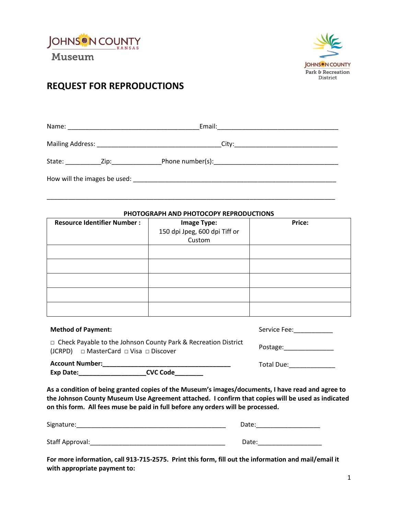



# **REQUEST FOR REPRODUCTIONS**

|                              | Email:<br>the contract of the contract of the contract of the contract of the contract of          |
|------------------------------|----------------------------------------------------------------------------------------------------|
|                              | City:<br>the control of the control of the control of the control of the control of the control of |
|                              |                                                                                                    |
| How will the images be used: |                                                                                                    |

\_\_\_\_\_\_\_\_\_\_\_\_\_\_\_\_\_\_\_\_\_\_\_\_\_\_\_\_\_\_\_\_\_\_\_\_\_\_\_\_\_\_\_\_\_\_\_\_\_\_\_\_\_\_\_\_\_\_\_\_\_\_\_\_\_\_\_\_\_\_\_\_\_\_\_\_\_\_\_\_\_

## **PHOTOGRAPH AND PHOTOCOPY REPRODUCTIONS**

| <b>Resource Identifier Number:</b> | <b>Image Type:</b><br>150 dpi Jpeg, 600 dpi Tiff or<br>Custom | Price: |
|------------------------------------|---------------------------------------------------------------|--------|
|                                    |                                                               |        |
|                                    |                                                               |        |
|                                    |                                                               |        |
|                                    |                                                               |        |
|                                    |                                                               |        |

### **Method of Payment:**

**Account Number:\_\_\_\_\_\_\_\_\_\_\_\_\_\_\_\_\_\_\_\_\_\_\_\_\_\_\_\_\_\_\_\_\_\_\_\_**

| Service Fee: |  |  |  |  |
|--------------|--|--|--|--|
|--------------|--|--|--|--|

**□** Check Payable to the Johnson County Park & Recreation District (JCRPD) □ MasterCard □ Visa □ Discover

| Postage: |
|----------|
|----------|

Total Due:\_\_\_\_\_\_\_\_\_\_\_\_\_

**Exp Date: CVC Code** 

**As a condition of being granted copies of the Museum's images/documents, I have read and agree to the Johnson County Museum Use Agreement attached. I confirm that copies will be used as indicated on this form. All fees muse be paid in full before any orders will be processed.**

| Signature:      | Date: |
|-----------------|-------|
|                 |       |
| Staff Approval: | Date: |

**For more information, call 913-715-2575. Print this form, fill out the information and mail/email it with appropriate payment to:**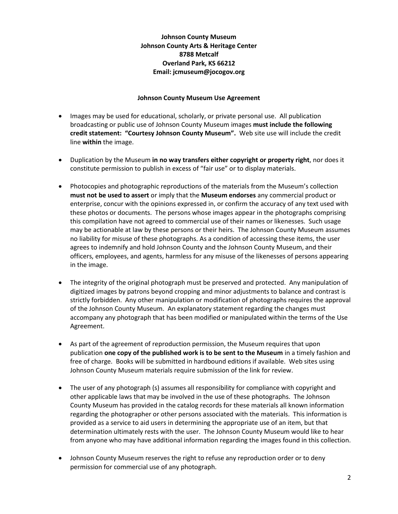**Johnson County Museum Johnson County Arts & Heritage Center 8788 Metcalf Overland Park, KS 66212 Email: jcmuseum@jocogov.org**

#### **Johnson County Museum Use Agreement**

- Images may be used for educational, scholarly, or private personal use. All publication broadcasting or public use of Johnson County Museum images **must include the following credit statement: "Courtesy Johnson County Museum".** Web site use will include the credit line **within** the image.
- Duplication by the Museum **in no way transfers either copyright or property right**, nor does it constitute permission to publish in excess of "fair use" or to display materials.
- Photocopies and photographic reproductions of the materials from the Museum's collection **must not be used to assert** or imply that the **Museum endorses** any commercial product or enterprise, concur with the opinions expressed in, or confirm the accuracy of any text used with these photos or documents. The persons whose images appear in the photographs comprising this compilation have not agreed to commercial use of their names or likenesses. Such usage may be actionable at law by these persons or their heirs. The Johnson County Museum assumes no liability for misuse of these photographs. As a condition of accessing these items, the user agrees to indemnify and hold Johnson County and the Johnson County Museum, and their officers, employees, and agents, harmless for any misuse of the likenesses of persons appearing in the image.
- The integrity of the original photograph must be preserved and protected. Any manipulation of digitized images by patrons beyond cropping and minor adjustments to balance and contrast is strictly forbidden. Any other manipulation or modification of photographs requires the approval of the Johnson County Museum. An explanatory statement regarding the changes must accompany any photograph that has been modified or manipulated within the terms of the Use Agreement.
- As part of the agreement of reproduction permission, the Museum requires that upon publication **one copy of the published work is to be sent to the Museum** in a timely fashion and free of charge. Books will be submitted in hardbound editions if available. Web sites using Johnson County Museum materials require submission of the link for review.
- The user of any photograph (s) assumes all responsibility for compliance with copyright and other applicable laws that may be involved in the use of these photographs. The Johnson County Museum has provided in the catalog records for these materials all known information regarding the photographer or other persons associated with the materials. This information is provided as a service to aid users in determining the appropriate use of an item, but that determination ultimately rests with the user. The Johnson County Museum would like to hear from anyone who may have additional information regarding the images found in this collection.
- Johnson County Museum reserves the right to refuse any reproduction order or to deny permission for commercial use of any photograph.